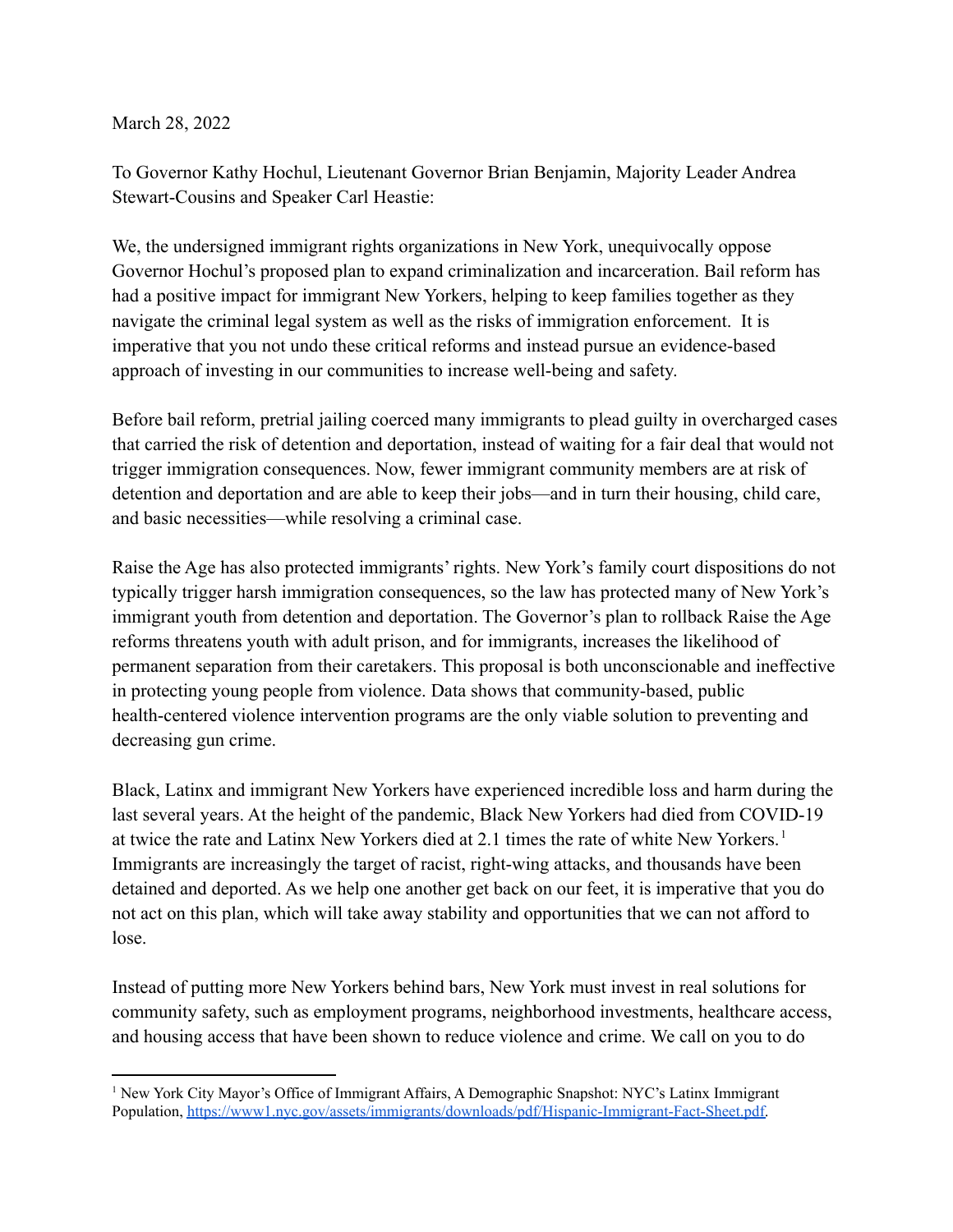March 28, 2022

To Governor Kathy Hochul, Lieutenant Governor Brian Benjamin, Majority Leader Andrea Stewart-Cousins and Speaker Carl Heastie:

We, the undersigned immigrant rights organizations in New York, unequivocally oppose Governor Hochul's proposed plan to expand criminalization and incarceration. Bail reform has had a positive impact for immigrant New Yorkers, helping to keep families together as they navigate the criminal legal system as well as the risks of immigration enforcement. It is imperative that you not undo these critical reforms and instead pursue an evidence-based approach of investing in our communities to increase well-being and safety.

Before bail reform, pretrial jailing coerced many immigrants to plead guilty in overcharged cases that carried the risk of detention and deportation, instead of waiting for a fair deal that would not trigger immigration consequences. Now, fewer immigrant community members are at risk of detention and deportation and are able to keep their jobs—and in turn their housing, child care, and basic necessities—while resolving a criminal case.

Raise the Age has also protected immigrants' rights. New York's family court dispositions do not typically trigger harsh immigration consequences, so the law has protected many of New York's immigrant youth from detention and deportation. The Governor's plan to rollback Raise the Age reforms threatens youth with adult prison, and for immigrants, increases the likelihood of permanent separation from their caretakers. This proposal is both unconscionable and ineffective in protecting young people from violence. Data shows that community-based, public health-centered violence intervention programs are the only viable solution to preventing and decreasing gun crime.

Black, Latinx and immigrant New Yorkers have experienced incredible loss and harm during the last several years. At the height of the pandemic, Black New Yorkers had died from COVID-19 at twice the rate and Latinx New Yorkers died at 2.1 times the rate of white New Yorkers.<sup>1</sup> Immigrants are increasingly the target of racist, right-wing attacks, and thousands have been detained and deported. As we help one another get back on our feet, it is imperative that you do not act on this plan, which will take away stability and opportunities that we can not afford to lose.

Instead of putting more New Yorkers behind bars, New York must invest in real solutions for community safety, such as employment programs, neighborhood investments, healthcare access, and housing access that have been shown to reduce violence and crime. We call on you to do

<sup>1</sup> New York City Mayor's Office of Immigrant Affairs, A Demographic Snapshot: NYC's Latinx Immigrant Population, [https://www1.nyc.gov/assets/immigrants/downloads/pdf/Hispanic-Immigrant-Fact-Sheet.pdf.](https://www1.nyc.gov/assets/immigrants/downloads/pdf/Hispanic-Immigrant-Fact-Sheet.pdf)